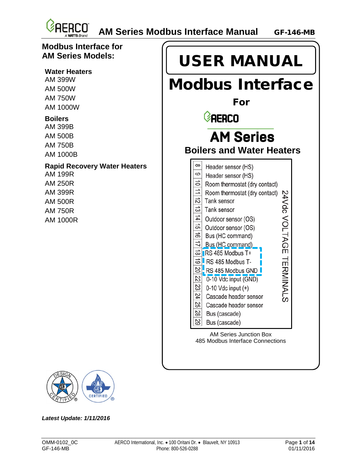

#### **Modbus Interface for AM Series Models:**

#### **Water Heaters**

AM 399W AM 500W AM 750W AM 1000W

#### **Boilers**

AM 399B AM 500B AM 750B AM 1000B

#### **Rapid Recovery Water Heaters**

AM 199R AM 250R AM 399R AM 500R AM 750R AM 1000R





*Latest Update: 1/11/2016*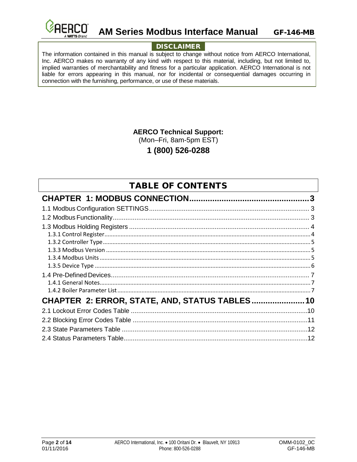

#### **AM Series Modbus Interface Manual** GF-146-MB

#### DISCLAIMER

The information contained in this manual is subject to change without notice from AERCO International, Inc. AERCO makes no warranty of any kind with respect to this material, including, but not limited to, implied warranties of merchantability and fitness for a particular application. AERCO International is not liable for errors appearing in this manual, nor for incidental or consequential damages occurring in connection with the furnishing, performance, or use of these materials.

**AERCO Technical Support:**

(Mon–Fri, 8am-5pm EST)

**1 (800) 526-0288**

#### TABLE OF CONTENTS

| CHAPTER 2: ERROR, STATE, AND, STATUS TABLES 10 |  |
|------------------------------------------------|--|
|                                                |  |
|                                                |  |
|                                                |  |
|                                                |  |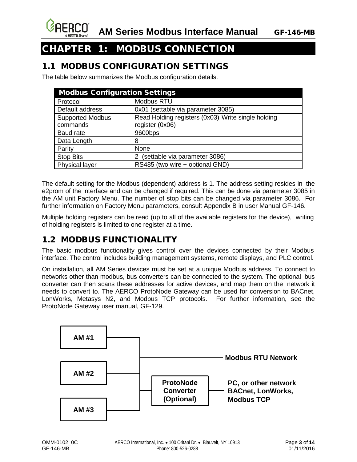

# <span id="page-2-0"></span>CHAPTER 1: MODBUS CONNECTION

#### <span id="page-2-1"></span>1.1 MODBUS CONFIGURATION SETTINGS

The table below summarizes the Modbus configuration details.

| <b>Modbus Configuration Settings</b> |                                                    |  |  |  |  |
|--------------------------------------|----------------------------------------------------|--|--|--|--|
| Protocol                             | Modbus RTU                                         |  |  |  |  |
| Default address                      | 0x01 (settable via parameter 3085)                 |  |  |  |  |
| <b>Supported Modbus</b>              | Read Holding registers (0x03) Write single holding |  |  |  |  |
| commands                             | register (0x06)                                    |  |  |  |  |
| Baud rate                            | 9600bps                                            |  |  |  |  |
| Data Length                          | 8                                                  |  |  |  |  |
| Parity                               | None                                               |  |  |  |  |
| <b>Stop Bits</b>                     | (settable via parameter 3086)<br>2                 |  |  |  |  |
| Physical layer                       | RS485 (two wire + optional GND)                    |  |  |  |  |

The default setting for the Modbus (dependent) address is 1. The address setting resides in the e2prom of the interface and can be changed if required. This can be done via parameter 3085 in the AM unit Factory Menu. The number of stop bits can be changed via parameter 3086. For further information on Factory Menu parameters, consult Appendix B in user Manual GF-146.

Multiple holding registers can be read (up to all of the available registers for the device), writing of holding registers is limited to one register at a time.

## <span id="page-2-2"></span>1.2 MODBUS FUNCTIONALITY

The basic modbus functionality gives control over the devices connected by their Modbus interface. The control includes building management systems, remote displays, and PLC control.

On installation, all AM Series devices must be set at a unique Modbus address. To connect to networks other than modbus, bus converters can be connected to the system. The optional bus converter can then scans these addresses for active devices, and map them on the network it needs to convert to. The AERCO ProtoNode Gateway can be used for conversion to BACnet, LonWorks, Metasys N2, and Modbus TCP protocols. For further information, see the ProtoNode Gateway user manual, GF-129.

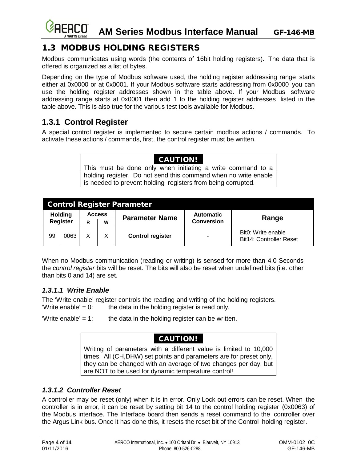# <span id="page-3-0"></span>1.3 MODBUS HOLDING REGISTERS

Modbus communicates using words (the contents of 16bit holding registers). The data that is offered is organized as a list of bytes.

Depending on the type of Modbus software used, the holding register addressing range starts either at 0x0000 or at 0x0001. If your Modbus software starts addressing from 0x0000 you can use the holding register addresses shown in the table above. If your Modbus software addressing range starts at 0x0001 then add 1 to the holding register addresses listed in the table above. This is also true for the various test tools available for Modbus.

## <span id="page-3-1"></span>**1.3.1 Control Register**

A special control register is implemented to secure certain modbus actions / commands. To activate these actions / commands, first, the control register must be written.

#### CAUTION!

This must be done only when initiating a write command to a holding register. Do not send this command when no write enable is needed to prevent holding registers from being corrupted.

| <b>Control Register Parameter</b> |      |               |   |                         |                                       |                                               |  |
|-----------------------------------|------|---------------|---|-------------------------|---------------------------------------|-----------------------------------------------|--|
| <b>Holding</b><br><b>Register</b> |      | <b>Access</b> |   | <b>Parameter Name</b>   | <b>Automatic</b><br><b>Conversion</b> | Range                                         |  |
|                                   |      | R             | W |                         |                                       |                                               |  |
| 99                                | 0063 | X             | X | <b>Control register</b> | $\overline{\phantom{a}}$              | Bit0: Write enable<br>Bit14: Controller Reset |  |

When no Modbus communication (reading or writing) is sensed for more than 4.0 Seconds the *control register* bits will be reset. The bits will also be reset when undefined bits (i.e. other than bits 0 and 14) are set.

#### *1.3.1.1 Write Enable*

The 'Write enable' register controls the reading and writing of the holding registers. 'Write enable' =  $0$ : the data in the holding register is read only.

'Write enable' = 1: the data in the holding register can be written.

#### CAUTION!

Writing of parameters with a different value is limited to 10,000 times. All (CH,DHW) set points and parameters are for preset only, they can be changed with an average of two changes per day, but are NOT to be used for dynamic temperature control!

#### *1.3.1.2 Controller Reset*

A controller may be reset (only) when it is in error. Only Lock out errors can be reset. When the controller is in error, it can be reset by setting bit 14 to the control holding register (0x0063) of the Modbus interface. The Interface board then sends a reset command to the controller over the Argus Link bus. Once it has done this, it resets the reset bit of the Control holding register.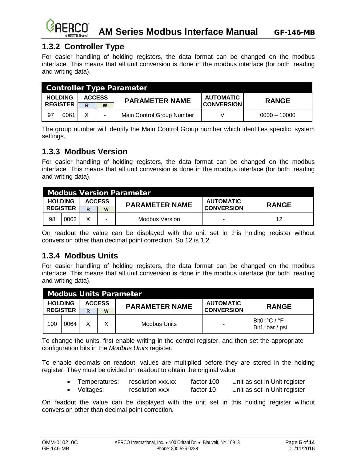

## <span id="page-4-0"></span>**1.3.2 Controller Type**

For easier handling of holding registers, the data format can be changed on the modbus interface. This means that all unit conversion is done in the modbus interface (for both reading and writing data).

| <b>Controller Type Parameter</b> |      |   |                       |                           |                   |                |  |
|----------------------------------|------|---|-----------------------|---------------------------|-------------------|----------------|--|
| <b>HOLDING</b><br><b>ACCESS</b>  |      |   | <b>PARAMETER NAME</b> | <b>AUTOMATIC</b>          | <b>RANGE</b>      |                |  |
| <b>REGISTER</b>                  |      | R | W                     |                           | <b>CONVERSION</b> |                |  |
| -97                              | 0061 | X |                       | Main Control Group Number |                   | $0000 - 10000$ |  |

The group number will identify the Main Control Group number which identifies specific system settings.

#### <span id="page-4-1"></span>**1.3.3 Modbus Version**

For easier handling of holding registers, the data format can be changed on the modbus interface. This means that all unit conversion is done in the modbus interface (for both reading and writing data).

|    | <b>Modbus Version Parameter</b> |   |               |                       |                   |              |  |  |
|----|---------------------------------|---|---------------|-----------------------|-------------------|--------------|--|--|
|    | <b>HOLDING</b>                  |   | <b>ACCESS</b> | <b>PARAMETER NAME</b> | <b>AUTOMATIC</b>  | <b>RANGE</b> |  |  |
|    | <b>REGISTER</b>                 | R | W             |                       | <b>CONVERSION</b> |              |  |  |
| 98 | 0062                            | v |               | <b>Modbus Version</b> |                   |              |  |  |

On readout the value can be displayed with the unit set in this holding register without conversion other than decimal point correction. So 12 is 1.2.

#### <span id="page-4-2"></span>**1.3.4 Modbus Units**

For easier handling of holding registers, the data format can be changed on the modbus interface. This means that all unit conversion is done in the modbus interface (for both reading and writing data).

|                 | <b>Modbus Units Parameter</b> |               |  |                       |                   |                                      |  |  |
|-----------------|-------------------------------|---------------|--|-----------------------|-------------------|--------------------------------------|--|--|
| <b>HOLDING</b>  |                               | <b>ACCESS</b> |  | <b>PARAMETER NAME</b> | <b>AUTOMATIC</b>  | <b>RANGE</b>                         |  |  |
| <b>REGISTER</b> |                               | W<br>R        |  |                       | <b>CONVERSION</b> |                                      |  |  |
| 100             | 0064                          | Χ             |  | Modbus Units          |                   | Bit0: $°C$ / $°F$<br>Bit1: bar / psi |  |  |

To change the units, first enable writing in the control register, and then set the appropriate configuration bits in the *Modbus Units* register.

To enable decimals on readout, values are multiplied before they are stored in the holding register. They must be divided on readout to obtain the original value.

| Temperatures: | resolution xxx.xx | factor 100 | Unit as set in Unit register |
|---------------|-------------------|------------|------------------------------|
| Voltages:     | resolution xx.x   | factor 10  | Unit as set in Unit register |

On readout the value can be displayed with the unit set in this holding register without conversion other than decimal point correction.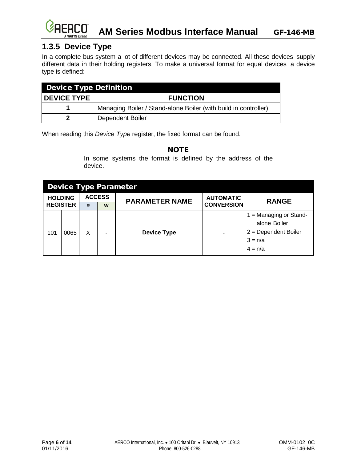#### FRCN **AM Series Modbus Interface Manual** GF-146-MB

# <span id="page-5-0"></span>**1.3.5 Device Type**

In a complete bus system a lot of different devices may be connected. All these devices supply different data in their holding registers. To make a universal format for equal devices a device type is defined:

| <b>Device Type Definition</b> |                                                                 |  |  |  |
|-------------------------------|-----------------------------------------------------------------|--|--|--|
| <b>I DEVICE TYPE I</b>        | <b>FUNCTION</b>                                                 |  |  |  |
|                               | Managing Boiler / Stand-alone Boiler (with build in controller) |  |  |  |
|                               | Dependent Boiler                                                |  |  |  |

When reading this *Device Type* register, the fixed format can be found.

#### NOTE

In some systems the format is defined by the address of the device.

|                | <b>Device Type Parameter</b> |               |   |                       |                   |                                                                                               |  |  |
|----------------|------------------------------|---------------|---|-----------------------|-------------------|-----------------------------------------------------------------------------------------------|--|--|
| <b>HOLDING</b> |                              | <b>ACCESS</b> |   | <b>PARAMETER NAME</b> | <b>AUTOMATIC</b>  | <b>RANGE</b>                                                                                  |  |  |
|                | <b>REGISTER</b>              | R             | W |                       | <b>CONVERSION</b> |                                                                                               |  |  |
| 101            | 0065                         | X             | ۰ | <b>Device Type</b>    |                   | $1 =$ Managing or Stand-<br>alone Boiler<br>$2 = Department$ Boiler<br>$3 = n/a$<br>$4 = n/a$ |  |  |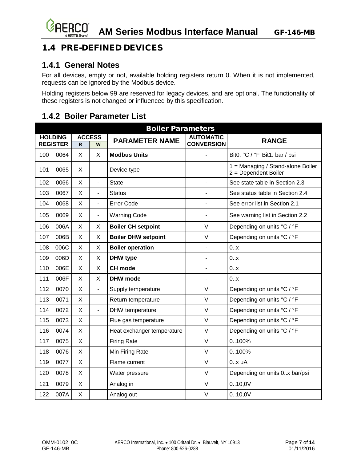# <span id="page-6-0"></span>1.4 PRE-DEFINED DEVICES

#### <span id="page-6-1"></span>**1.4.1 General Notes**

For all devices, empty or not, available holding registers return 0. When it is not implemented, requests can be ignored by the Modbus device.

Holding registers below 99 are reserved for legacy devices, and are optional. The functionality of these registers is not changed or influenced by this specification.

<span id="page-6-2"></span>

| <b>Boiler Parameters</b> |                                   |              |                          |                            |                                       |                                                           |  |  |
|--------------------------|-----------------------------------|--------------|--------------------------|----------------------------|---------------------------------------|-----------------------------------------------------------|--|--|
|                          | <b>HOLDING</b><br><b>REGISTER</b> | R.           | <b>ACCESS</b><br>W       | <b>PARAMETER NAME</b>      | <b>AUTOMATIC</b><br><b>CONVERSION</b> | <b>RANGE</b>                                              |  |  |
| 100                      | 0064                              | X            | X                        | <b>Modbus Units</b>        |                                       | Bit0: °C / °F Bit1: bar / psi                             |  |  |
| 101                      | 0065                              | $\mathsf{X}$ | $\blacksquare$           | Device type                |                                       | 1 = Managing / Stand-alone Boiler<br>2 = Dependent Boiler |  |  |
| 102                      | 0066                              | X            | $\overline{a}$           | State                      | $\blacksquare$                        | See state table in Section 2.3                            |  |  |
| 103                      | 0067                              | X            | $\overline{\phantom{a}}$ | <b>Status</b>              |                                       | See status table in Section 2.4                           |  |  |
| 104                      | 0068                              | X            | $\blacksquare$           | Error Code                 | $\overline{a}$                        | See error list in Section 2.1                             |  |  |
| 105                      | 0069                              | X            | $\overline{\phantom{a}}$ | <b>Warning Code</b>        | $\blacksquare$                        | See warning list in Section 2.2                           |  |  |
| 106                      | 006A                              | X            | X                        | <b>Boiler CH setpoint</b>  | $\vee$                                | Depending on units °C / °F                                |  |  |
| 107                      | 006B                              | X            | X                        | <b>Boiler DHW setpoint</b> | $\vee$                                | Depending on units °C / °F                                |  |  |
| 108                      | 006C                              | X            | X                        | <b>Boiler operation</b>    | $\blacksquare$                        | 0.x                                                       |  |  |
| 109                      | 006D                              | X            | X                        | DHW type                   | $\blacksquare$                        | 0.x                                                       |  |  |
| 110                      | 006E                              | X            | X                        | <b>CH</b> mode             | $\blacksquare$                        | 0.x                                                       |  |  |
| 111                      | 006F                              | X            | X                        | <b>DHW</b> mode            | $\overline{\phantom{0}}$              | 0.x                                                       |  |  |
| 112                      | 0070                              | X            | $\overline{\phantom{a}}$ | Supply temperature         | $\vee$                                | Depending on units °C / °F                                |  |  |
| 113                      | 0071                              | X            | $\overline{\phantom{a}}$ | Return temperature         | $\vee$                                | Depending on units °C / °F                                |  |  |
| 114                      | 0072                              | X            | ä,                       | DHW temperature            | $\vee$                                | Depending on units °C / °F                                |  |  |
| 115                      | 0073                              | X            |                          | Flue gas temperature       | $\vee$                                | Depending on units °C / °F                                |  |  |
| 116                      | 0074                              | X            |                          | Heat exchanger temperature | $\vee$                                | Depending on units °C / °F                                |  |  |
| 117                      | 0075                              | X            |                          | <b>Firing Rate</b>         | $\vee$                                | 0100%                                                     |  |  |
| 118                      | 0076                              | X            |                          | Min Firing Rate            | $\vee$                                | 0100%                                                     |  |  |
| 119                      | 0077                              | X            |                          | Flame current              | $\vee$                                | 0.x uA                                                    |  |  |
| 120                      | 0078                              | X            |                          | Water pressure             | $\vee$                                | Depending on units 0.x bar/psi                            |  |  |
| 121                      | 0079                              | X            |                          | Analog in                  | $\vee$                                | 0.10,0V                                                   |  |  |
| 122                      | 007A                              | X            |                          | Analog out                 | $\vee$                                | 0.10,0V                                                   |  |  |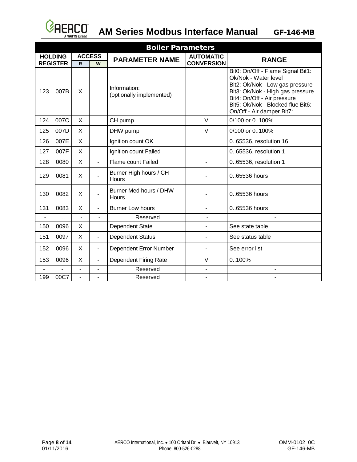

#### **AM Series Modbus Interface Manual** GF-146-MB

| <b>Boiler Parameters</b> |                 |                |                          |                                          |                   |                                                                                                                                                                                                                                   |  |  |
|--------------------------|-----------------|----------------|--------------------------|------------------------------------------|-------------------|-----------------------------------------------------------------------------------------------------------------------------------------------------------------------------------------------------------------------------------|--|--|
|                          | <b>HOLDING</b>  | <b>ACCESS</b>  |                          | <b>PARAMETER NAME</b>                    | <b>AUTOMATIC</b>  | <b>RANGE</b>                                                                                                                                                                                                                      |  |  |
|                          | <b>REGISTER</b> | $\mathsf{R}$   | W                        |                                          | <b>CONVERSION</b> |                                                                                                                                                                                                                                   |  |  |
| 123                      | 007B            | X              |                          | Information:<br>(optionally implemented) |                   | Bit0: On/Off - Flame Signal Bit1:<br>Ok/Nok - Water level<br>Bit2: Ok/Nok - Low gas pressure<br>Bit3: Ok/Nok - High gas pressure<br>Bit4: On/Off - Air pressure<br>Bit5: Ok/Nok - Blocked flue Bit6:<br>On/Off - Air damper Bit7: |  |  |
| 124                      | 007C            | X              |                          | CH pump                                  | $\vee$            | 0/100 or 0100%                                                                                                                                                                                                                    |  |  |
| 125                      | 007D            | X              |                          | DHW pump                                 | $\vee$            | 0/100 or 0100%                                                                                                                                                                                                                    |  |  |
| 126                      | 007E            | X              |                          | Ignition count OK                        |                   | 0.65536, resolution 16                                                                                                                                                                                                            |  |  |
| 127                      | 007F            | X              |                          | Ignition count Failed                    |                   | 065536, resolution 1                                                                                                                                                                                                              |  |  |
| 128                      | 0080            | X              | $\blacksquare$           | <b>Flame count Failed</b>                |                   | 0.65536, resolution 1                                                                                                                                                                                                             |  |  |
| 129                      | 0081            | X              |                          | Burner High hours / CH<br>Hours          |                   | 0.65536 hours                                                                                                                                                                                                                     |  |  |
| 130                      | 0082            | X              | $\blacksquare$           | Burner Med hours / DHW<br>Hours          |                   | 0.65536 hours                                                                                                                                                                                                                     |  |  |
| 131                      | 0083            | X              | $\blacksquare$           | <b>Burner Low hours</b>                  |                   | 0.65536 hours                                                                                                                                                                                                                     |  |  |
|                          |                 | $\overline{a}$ | ÷,                       | Reserved                                 |                   |                                                                                                                                                                                                                                   |  |  |
| 150                      | 0096            | X              |                          | Dependent State                          | $\blacksquare$    | See state table                                                                                                                                                                                                                   |  |  |
| 151                      | 0097            | X              | $\blacksquare$           | <b>Dependent Status</b>                  |                   | See status table                                                                                                                                                                                                                  |  |  |
| 152                      | 0096            | X              | $\overline{\phantom{a}}$ | Dependent Error Number                   |                   | See error list                                                                                                                                                                                                                    |  |  |
| 153                      | 0096            | X              | $\overline{\phantom{a}}$ | Dependent Firing Rate                    | $\vee$            | 0100%                                                                                                                                                                                                                             |  |  |
|                          |                 |                |                          | Reserved                                 | $\blacksquare$    |                                                                                                                                                                                                                                   |  |  |
| 199                      | 00C7            | $\overline{a}$ |                          | Reserved                                 | $\blacksquare$    |                                                                                                                                                                                                                                   |  |  |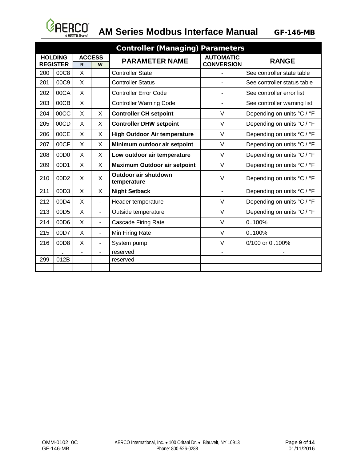

# **AM Series Modbus Interface Manual**

| <b>Controller (Managing) Parameters</b> |      |                          |                          |                                            |                                       |                             |  |
|-----------------------------------------|------|--------------------------|--------------------------|--------------------------------------------|---------------------------------------|-----------------------------|--|
| <b>HOLDING</b><br><b>REGISTER</b>       |      | <b>ACCESS</b><br>R<br>W  |                          | <b>PARAMETER NAME</b>                      | <b>AUTOMATIC</b><br><b>CONVERSION</b> | <b>RANGE</b>                |  |
| 200                                     | 00C8 | X                        |                          | <b>Controller State</b>                    |                                       | See controller state table  |  |
| 201                                     | 00C9 | X                        |                          | <b>Controller Status</b>                   |                                       | See controller status table |  |
| 202                                     | 00CA | $\mathsf{X}$             |                          | <b>Controller Error Code</b>               |                                       | See controller error list   |  |
| 203                                     | 00CB | X                        |                          | <b>Controller Warning Code</b>             |                                       | See controller warning list |  |
| 204                                     | 00CC | X                        | X                        | <b>Controller CH setpoint</b>              | $\vee$                                | Depending on units °C / °F  |  |
| 205                                     | 00CD | X                        | X                        | <b>Controller DHW setpoint</b>             | $\vee$                                | Depending on units °C / °F  |  |
| 206                                     | 00CE | X                        | X                        | <b>High Outdoor Air temperature</b>        | $\vee$                                | Depending on units °C / °F  |  |
| 207                                     | 00CF | X                        | X                        | Minimum outdoor air setpoint               | $\vee$                                | Depending on units °C / °F  |  |
| 208                                     | 00D0 | X                        | X                        | Low outdoor air temperature                | $\vee$                                | Depending on units °C / °F  |  |
| 209                                     | 00D1 | X                        | X                        | <b>Maximum Outdoor air setpoint</b>        | $\vee$                                | Depending on units °C / °F  |  |
| 210                                     | 00D2 | X                        | X                        | <b>Outdoor air shutdown</b><br>temperature | $\vee$                                | Depending on units °C / °F  |  |
| 211                                     | 00D3 | X                        | X                        | <b>Night Setback</b>                       | ٠                                     | Depending on units °C / °F  |  |
| 212                                     | 00D4 | X                        | $\overline{\phantom{0}}$ | Header temperature                         | $\vee$                                | Depending on units °C / °F  |  |
| 213                                     | 00D5 | X                        | $\overline{\phantom{0}}$ | Outside temperature                        | $\vee$                                | Depending on units °C / °F  |  |
| 214                                     | 00D6 | X                        | $\overline{\phantom{0}}$ | <b>Cascade Firing Rate</b>                 | $\vee$                                | 0100%                       |  |
| 215                                     | 00D7 | X                        | ۰                        | Min Firing Rate                            | $\vee$                                | 0100%                       |  |
| 216                                     | 00D8 | X                        | $\overline{\phantom{0}}$ | System pump                                | $\vee$                                | 0/100 or 0100%              |  |
|                                         |      | $\overline{\phantom{0}}$ | $\overline{\phantom{0}}$ | reserved                                   | ٠                                     |                             |  |
| 299                                     | 012B |                          |                          | reserved                                   |                                       |                             |  |
|                                         |      |                          |                          |                                            |                                       |                             |  |

GF-146-MB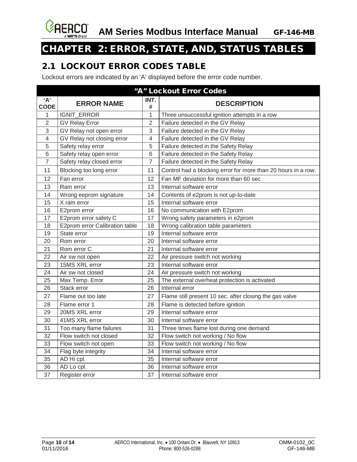

# <span id="page-9-0"></span>CHAPTER 2: ERROR, STATE, AND, STATUS TABLES

## <span id="page-9-1"></span>2.1 LOCKOUT ERROR CODES TABLE

Lockout errors are indicated by an 'A' displayed before the error code number.

| "A" Lockout Error Codes |                                |                |                                                               |  |  |
|-------------------------|--------------------------------|----------------|---------------------------------------------------------------|--|--|
| A<br><b>CODE</b>        | <b>ERROR NAME</b>              | INT.<br>#      | <b>DESCRIPTION</b>                                            |  |  |
| 1                       | IGNIT_ERROR                    | 1              | Three unsuccessful ignition attempts in a row                 |  |  |
| $\overline{2}$          | <b>GV Relay Error</b>          | $\overline{2}$ | Failure detected in the GV Relay                              |  |  |
| 3                       | GV Relay not open error        | 3              | Failure detected in the GV Relay                              |  |  |
| $\overline{4}$          | GV Relay not closing error     | 4              | Failure detected in the GV Relay                              |  |  |
| 5                       | Safety relay error             | 5              | Failure detected in the Safety Relay                          |  |  |
| 6                       | Safety relay open error        | $6\phantom{1}$ | Failure detected in the Safety Relay                          |  |  |
| $\overline{7}$          | Safety relay closed error      | $\overline{7}$ | Failure detected in the Safety Relay                          |  |  |
| 11                      | Blocking too long error        | 11             | Control had a blocking error for more than 20 hours in a row. |  |  |
| 12                      | Fan error                      | 12             | Fan MF deviation for more than 60 sec                         |  |  |
| 13                      | Ram error                      | 13             | Internal software error                                       |  |  |
| 14                      | Wrong eeprom signature         | 14             | Contents of e2prom is not up-to-date                          |  |  |
| 15                      | X ram error                    | 15             | Internal software error                                       |  |  |
| 16                      | E2prom error                   | 16             | No communication with E2prom                                  |  |  |
| 17                      | E2prom error safety C          | 17             | Wrong safety parameters in e2prom                             |  |  |
| 18                      | E2prom error Calibration table | 18             | Wrong calibration table parameters                            |  |  |
| 19                      | State error                    | 19             | Internal software error                                       |  |  |
| 20                      | Rom error                      | 20             | Internal software error                                       |  |  |
| 21                      | Rom error C                    | 21             | Internal software error                                       |  |  |
| 22                      | Air sw not open                | 22             | Air pressure switch not working                               |  |  |
| 23                      | 15MS XRL error                 | 23             | Internal software error                                       |  |  |
| 24                      | Air sw not closed              | 24             | Air pressure switch not working                               |  |  |
| 25                      | Max Temp. Error                | 25             | The external overheat protection is activated                 |  |  |
| 26                      | Stack error                    | 26             | Internal error                                                |  |  |
| 27                      | Flame out too late             | 27             | Flame still present 10 sec. after closing the gas valve       |  |  |
| 28                      | Flame error 1                  | 28             | Flame is detected before ignition                             |  |  |
| 29                      | 20MS XRL error                 | 29             | Internal software error                                       |  |  |
| 30                      | 41MS XRL error                 | 30             | Internal software error                                       |  |  |
| 31                      | Too many flame failures        | 31             | Three times flame lost during one demand                      |  |  |
| 32                      | Flow switch not closed         | 32             | Flow switch not working / No flow                             |  |  |
| 33                      | Flow switch not open           | 33             | Flow switch not working / No flow                             |  |  |
| 34                      | Flag byte integrity            | 34             | Internal software error                                       |  |  |
| 35                      | AD Hi cpl.                     | 35             | Internal software error                                       |  |  |
| 36                      | AD Lo cpl.                     | 36             | Internal software error                                       |  |  |
| 37                      | Register error                 | 37             | Internal software error                                       |  |  |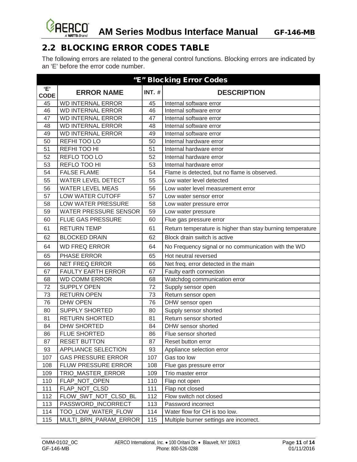

# <span id="page-10-0"></span>2.2 BLOCKING ERROR CODES TABLE

The following errors are related to the general control functions. Blocking errors are indicated by an 'E' before the error code number.

|                    | "E" Blocking Error Codes     |               |                                                            |  |  |
|--------------------|------------------------------|---------------|------------------------------------------------------------|--|--|
| 'Е'<br><b>CODE</b> | <b>ERROR NAME</b>            | <b>INT. #</b> | <b>DESCRIPTION</b>                                         |  |  |
| 45                 | <b>WD INTERNAL ERROR</b>     | 45            | Internal software error                                    |  |  |
| 46                 | <b>WD INTERNAL ERROR</b>     | 46            | Internal software error                                    |  |  |
| 47                 | <b>WD INTERNAL ERROR</b>     | 47            | Internal software error                                    |  |  |
| 48                 | <b>WD INTERNAL ERROR</b>     | 48            | Internal software error                                    |  |  |
| 49                 | <b>WD INTERNAL ERROR</b>     | 49            | Internal software error                                    |  |  |
| 50                 | REFHITOOLO                   | 50            | Internal hardware error                                    |  |  |
| 51                 | REFHITOOHI                   | 51            | Internal hardware error                                    |  |  |
| 52                 | REFLO TOO LO                 | 52            | Internal hardware error                                    |  |  |
| 53                 | REFLO TOO HI                 | 53            | Internal hardware error                                    |  |  |
| 54                 | <b>FALSE FLAME</b>           | 54            | Flame is detected, but no flame is observed.               |  |  |
| 55                 | <b>WATER LEVEL DETECT</b>    | 55            | Low water level detected                                   |  |  |
| 56                 | <b>WATER LEVEL MEAS</b>      | 56            | Low water level measurement error                          |  |  |
| 57                 | LOW WATER CUTOFF             | 57            | Low water sensor error                                     |  |  |
| 58                 | LOW WATER PRESSURE           | 58            | Low water pressure error                                   |  |  |
| 59                 | <b>WATER PRESSURE SENSOR</b> | 59            | Low water pressure                                         |  |  |
| 60                 | <b>FLUE GAS PRESSURE</b>     | 60            | Flue gas pressure error                                    |  |  |
| 61                 | <b>RETURN TEMP</b>           | 61            | Return temperature is higher than stay burning temperature |  |  |
| 62                 | <b>BLOCKED DRAIN</b>         | 62            | Block drain switch is active                               |  |  |
| 64                 | <b>WD FREQ ERROR</b>         | 64            | No Frequency signal or no communication with the WD        |  |  |
| 65                 | PHASE ERROR                  | 65            | Hot neutral reversed                                       |  |  |
| 66                 | <b>NET FREQ ERROR</b>        | 66            | Net freq. error detected in the main                       |  |  |
| 67                 | <b>FAULTY EARTH ERROR</b>    | 67            | Faulty earth connection                                    |  |  |
| 68                 | <b>WD COMM ERROR</b>         | 68            | Watchdog communication error                               |  |  |
| 72                 | <b>SUPPLY OPEN</b>           | 72            | Supply sensor open                                         |  |  |
| 73                 | <b>RETURN OPEN</b>           | 73            | Return sensor open                                         |  |  |
| 76                 | <b>DHW OPEN</b>              | 76            | DHW sensor open                                            |  |  |
| 80                 | <b>SUPPLY SHORTED</b>        | 80            | Supply sensor shorted                                      |  |  |
| 81                 | <b>RETURN SHORTED</b>        | 81            | Return sensor shorted                                      |  |  |
| 84                 | <b>DHW SHORTED</b>           | 84            | DHW sensor shorted                                         |  |  |
| 86                 | <b>FLUE SHORTED</b>          | 86            | Flue sensor shorted                                        |  |  |
| 87                 | <b>RESET BUTTON</b>          | 87            | Reset button error                                         |  |  |
| 93                 | APPLIANCE SELECTION          | 93            | Appliance selection error                                  |  |  |
| 107                | <b>GAS PRESSURE ERROR</b>    | 107           | Gas too low                                                |  |  |
| 108                | FLUW PRESSURE ERROR          | 108           | Flue gas pressure error                                    |  |  |
| 109                | TRIO_MASTER_ERROR            | 109           | Trio master error                                          |  |  |
| 110                | FLAP_NOT_OPEN                | 110           | Flap not open                                              |  |  |
| 111                | FLAP NOT CLSD                | 111           | Flap not closed                                            |  |  |
| 112                | FLOW_SWT_NOT_CLSD_BL         | 112           | Flow switch not closed                                     |  |  |
| 113                | PASSWORD_INCORRECT           | 113           | Password incorrect                                         |  |  |
| 114                | TOO LOW WATER FLOW           | 114           | Water flow for CH is too low.                              |  |  |
| 115                | MULTI_BRN_PARAM_ERROR        | 115           | Multiple burner settings are incorrect.                    |  |  |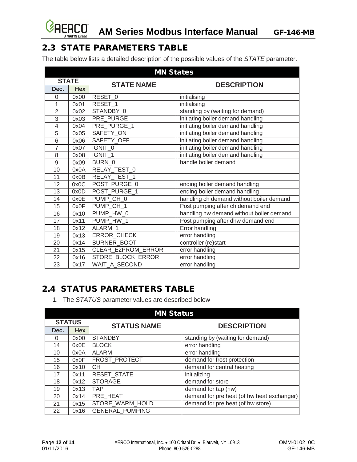

# <span id="page-11-0"></span>2.3 STATE PARAMETERS TABLE

The table below lists a detailed description of the possible values of the *STATE* parameter.

| <b>MN States</b> |            |                     |                                          |  |  |  |
|------------------|------------|---------------------|------------------------------------------|--|--|--|
| <b>STATE</b>     |            | <b>STATE NAME</b>   | <b>DESCRIPTION</b>                       |  |  |  |
| Dec.             | <b>Hex</b> |                     |                                          |  |  |  |
| 0                | 0x00       | RESET <sub>_0</sub> | initialising                             |  |  |  |
| 1                | 0x01       | RESET 1             | initialising                             |  |  |  |
| $\overline{2}$   | 0x02       | STANDBY 0           | standing by (waiting for demand)         |  |  |  |
| $\overline{3}$   | 0x03       | PRE_PURGE           | initiating boiler demand handling        |  |  |  |
| $\overline{4}$   | 0x04       | PRE PURGE 1         | initiating boiler demand handling        |  |  |  |
| 5                | 0x05       | SAFETY_ON           | initiating boiler demand handling        |  |  |  |
| 6                | 0x06       | SAFETY_OFF          | initiating boiler demand handling        |  |  |  |
| 7                | 0x07       | IGNIT 0             | initiating boiler demand handling        |  |  |  |
| 8                | 0x08       | IGNIT 1             | initiating boiler demand handling        |  |  |  |
| 9                | 0x09       | BURN 0              | handle boiler demand                     |  |  |  |
| 10               | 0x0A       | RELAY_TEST_0        |                                          |  |  |  |
| 11               | 0x0B       | RELAY_TEST_1        |                                          |  |  |  |
| 12               | 0x0C       | POST_PURGE_0        | ending boiler demand handling            |  |  |  |
| 13               | 0x0D       | POST_PURGE_1        | ending boiler demand handling            |  |  |  |
| 14               | 0x0E       | PUMP_CH_0           | handling ch demand without boiler demand |  |  |  |
| 15               | 0x0F       | PUMP CH 1           | Post pumping after ch demand end         |  |  |  |
| 16               | 0x10       | PUMP_HW_0           | handling hw demand without boiler demand |  |  |  |
| 17               | 0x11       | PUMP HW 1           | Post pumping after dhw demand end        |  |  |  |
| 18               | 0x12       | ALARM 1             | Error handling                           |  |  |  |
| 19               | 0x13       | ERROR_CHECK         | error handling                           |  |  |  |
| 20               | 0x14       | <b>BURNER BOOT</b>  | controller (re)start                     |  |  |  |
| 21               | 0x15       | CLEAR E2PROM ERROR  | error handling                           |  |  |  |
| 22               | 0x16       | STORE_BLOCK_ERROR   | error handling                           |  |  |  |
| 23               | 0x17       | WAIT_A_SECOND       | error handling                           |  |  |  |

# <span id="page-11-1"></span>2.4 STATUS PARAMETERS TABLE

1. The *STATUS* parameter values are described below

| <b>MN Status</b> |            |                        |                                            |  |  |
|------------------|------------|------------------------|--------------------------------------------|--|--|
| <b>STATUS</b>    |            | <b>STATUS NAME</b>     | <b>DESCRIPTION</b>                         |  |  |
| Dec.             | <b>Hex</b> |                        |                                            |  |  |
| 0                | 0x00       | <b>STANDBY</b>         | standing by (waiting for demand)           |  |  |
| 14               | 0x0E       | <b>BLOCK</b>           | error handling                             |  |  |
| 10               | 0x0A       | <b>ALARM</b>           | error handling                             |  |  |
| 15               | 0x0F       | FROST_PROTECT          | demand for frost protection                |  |  |
| 16               | 0x10       | <b>CH</b>              | demand for central heating                 |  |  |
| 17               | 0x11       | <b>RESET STATE</b>     | initializing                               |  |  |
| 18               | 0x12       | <b>STORAGE</b>         | demand for store                           |  |  |
| 19               | 0x13       | <b>TAP</b>             | demand for tap (hw)                        |  |  |
| 20               | 0x14       | PRE HEAT               | demand for pre heat (of hw heat exchanger) |  |  |
| 21               | 0x15       | STORE_WARM_HOLD        | demand for pre heat (of hw store)          |  |  |
| 22               | 0x16       | <b>GENERAL PUMPING</b> |                                            |  |  |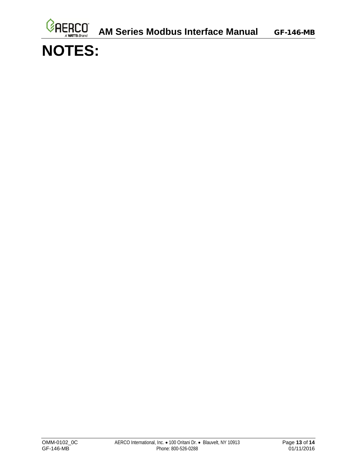

# **NOTES:**

Ø